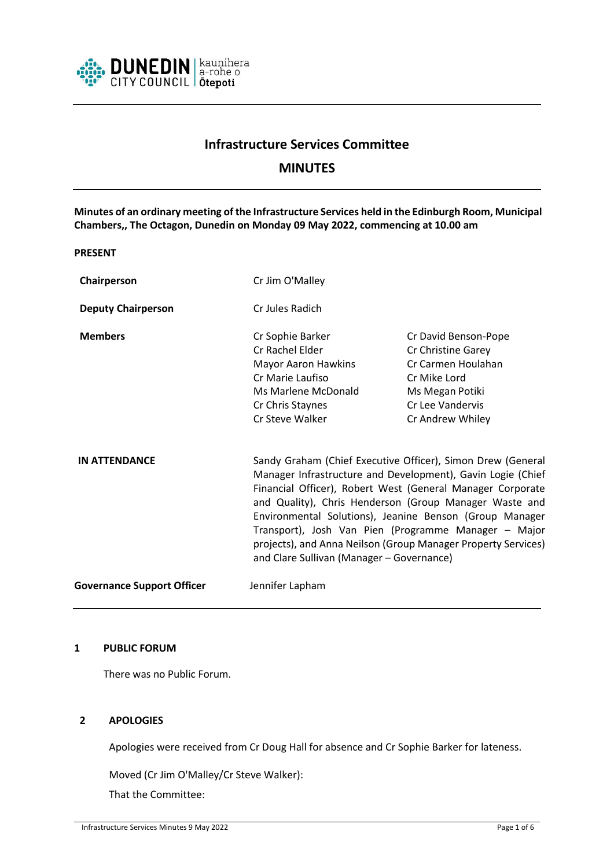

# **Infrastructure Services Committee**

# **MINUTES**

**Minutes of an ordinary meeting of the Infrastructure Services held in the Edinburgh Room, Municipal Chambers,, The Octagon, Dunedin on Monday 09 May 2022, commencing at 10.00 am**

#### **PRESENT**

| Chairperson                       | Cr Jim O'Malley                                                                                                                                                                                                                                                                                                                                                                                                                                                                     |                                                                                                                                             |
|-----------------------------------|-------------------------------------------------------------------------------------------------------------------------------------------------------------------------------------------------------------------------------------------------------------------------------------------------------------------------------------------------------------------------------------------------------------------------------------------------------------------------------------|---------------------------------------------------------------------------------------------------------------------------------------------|
| <b>Deputy Chairperson</b>         | Cr Jules Radich                                                                                                                                                                                                                                                                                                                                                                                                                                                                     |                                                                                                                                             |
| <b>Members</b>                    | Cr Sophie Barker<br>Cr Rachel Elder<br>Mayor Aaron Hawkins<br>Cr Marie Laufiso<br>Ms Marlene McDonald<br>Cr Chris Staynes<br>Cr Steve Walker                                                                                                                                                                                                                                                                                                                                        | Cr David Benson-Pope<br>Cr Christine Garey<br>Cr Carmen Houlahan<br>Cr Mike Lord<br>Ms Megan Potiki<br>Cr Lee Vandervis<br>Cr Andrew Whiley |
| <b>IN ATTENDANCE</b>              | Sandy Graham (Chief Executive Officer), Simon Drew (General<br>Manager Infrastructure and Development), Gavin Logie (Chief<br>Financial Officer), Robert West (General Manager Corporate<br>and Quality), Chris Henderson (Group Manager Waste and<br>Environmental Solutions), Jeanine Benson (Group Manager<br>Transport), Josh Van Pien (Programme Manager - Major<br>projects), and Anna Neilson (Group Manager Property Services)<br>and Clare Sullivan (Manager - Governance) |                                                                                                                                             |
| <b>Governance Support Officer</b> | Jennifer Lapham                                                                                                                                                                                                                                                                                                                                                                                                                                                                     |                                                                                                                                             |

# **1 PUBLIC FORUM**

There was no Public Forum.

## **2 APOLOGIES**

Apologies were received from Cr Doug Hall for absence and Cr Sophie Barker for lateness.

Moved (Cr Jim O'Malley/Cr Steve Walker):

That the Committee: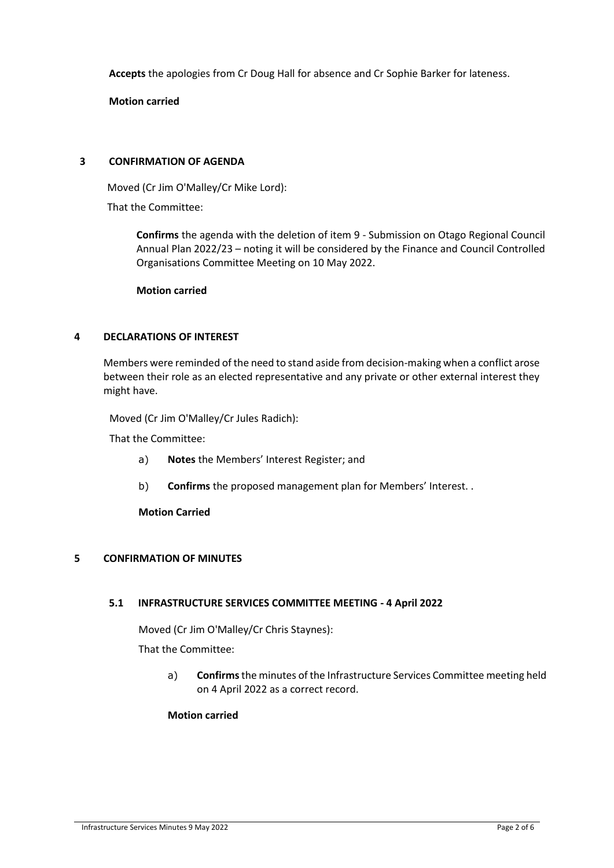**Accepts** the apologies from Cr Doug Hall for absence and Cr Sophie Barker for lateness.

**Motion carried**

# **3 CONFIRMATION OF AGENDA**

Moved (Cr Jim O'Malley/Cr Mike Lord):

That the Committee:

**Confirms** the agenda with the deletion of item 9 - Submission on Otago Regional Council Annual Plan 2022/23 – noting it will be considered by the Finance and Council Controlled Organisations Committee Meeting on 10 May 2022.

**Motion carried**

# **4 DECLARATIONS OF INTEREST**

Members were reminded of the need to stand aside from decision-making when a conflict arose between their role as an elected representative and any private or other external interest they might have.

Moved (Cr Jim O'Malley/Cr Jules Radich):

That the Committee:

- a) **Notes** the Members' Interest Register; and
- b) **Confirms** the proposed management plan for Members' Interest. .

**Motion Carried**

# **5 CONFIRMATION OF MINUTES**

## **5.1 INFRASTRUCTURE SERVICES COMMITTEE MEETING - 4 April 2022**

Moved (Cr Jim O'Malley/Cr Chris Staynes):

That the Committee:

a) **Confirms**the minutes of the Infrastructure Services Committee meeting held on 4 April 2022 as a correct record.

## **Motion carried**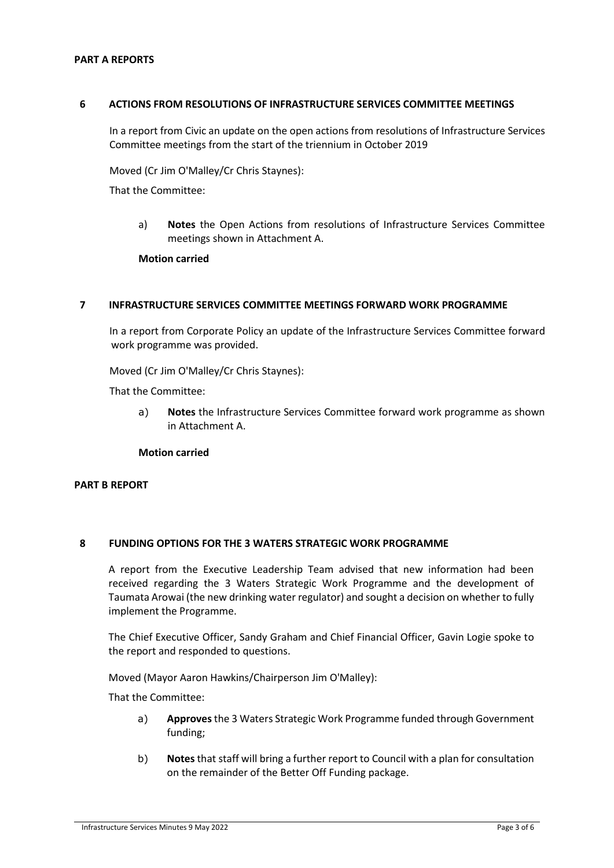#### **PART A REPORTS**

#### **6 ACTIONS FROM RESOLUTIONS OF INFRASTRUCTURE SERVICES COMMITTEE MEETINGS**

In a report from Civic an update on the open actions from resolutions of Infrastructure Services Committee meetings from the start of the triennium in October 2019

Moved (Cr Jim O'Malley/Cr Chris Staynes):

That the Committee:

a) **Notes** the Open Actions from resolutions of Infrastructure Services Committee meetings shown in Attachment A.

**Motion carried**

#### **7 INFRASTRUCTURE SERVICES COMMITTEE MEETINGS FORWARD WORK PROGRAMME**

In a report from Corporate Policy an update of the Infrastructure Services Committee forward work programme was provided.

Moved (Cr Jim O'Malley/Cr Chris Staynes):

That the Committee:

a) **Notes** the Infrastructure Services Committee forward work programme as shown in Attachment A.

**Motion carried**

#### **PART B REPORT**

#### **8 FUNDING OPTIONS FOR THE 3 WATERS STRATEGIC WORK PROGRAMME**

A report from the Executive Leadership Team advised that new information had been received regarding the 3 Waters Strategic Work Programme and the development of Taumata Arowai (the new drinking water regulator) and sought a decision on whether to fully implement the Programme.

The Chief Executive Officer, Sandy Graham and Chief Financial Officer, Gavin Logie spoke to the report and responded to questions.

Moved (Mayor Aaron Hawkins/Chairperson Jim O'Malley):

That the Committee:

- a) **Approves** the 3 Waters Strategic Work Programme funded through Government funding;
- b) **Notes** that staff will bring a further report to Council with a plan for consultation on the remainder of the Better Off Funding package.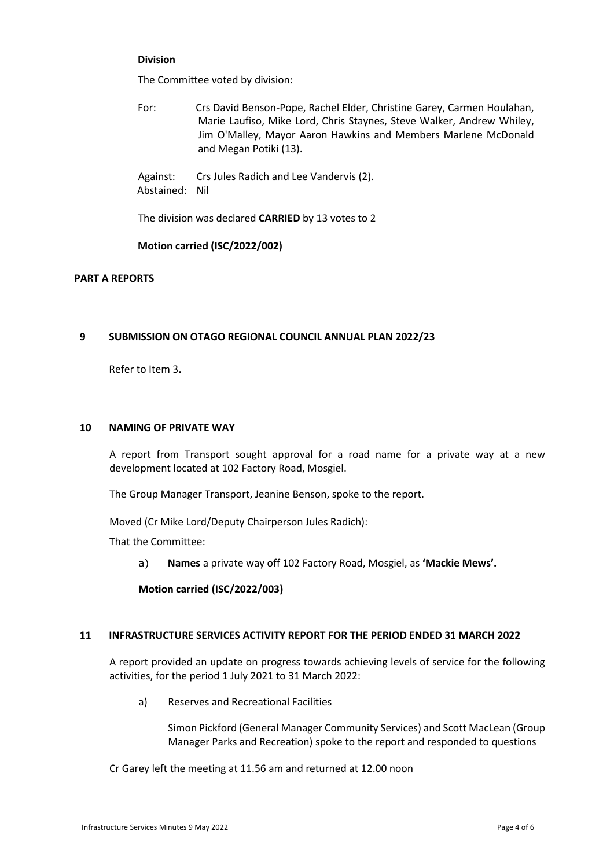## **Division**

The Committee voted by division:

For: Crs David Benson-Pope, Rachel Elder, Christine Garey, Carmen Houlahan, Marie Laufiso, Mike Lord, Chris Staynes, Steve Walker, Andrew Whiley, Jim O'Malley, Mayor Aaron Hawkins and Members Marlene McDonald and Megan Potiki (13).

Against: Crs Jules Radich and Lee Vandervis (2). Abstained: Nil

The division was declared **CARRIED** by 13 votes to 2

# **Motion carried (ISC/2022/002)**

## **PART A REPORTS**

# **9 SUBMISSION ON OTAGO REGIONAL COUNCIL ANNUAL PLAN 2022/23**

Refer to Item 3**.**

#### **10 NAMING OF PRIVATE WAY**

A report from Transport sought approval for a road name for a private way at a new development located at 102 Factory Road, Mosgiel.

The Group Manager Transport, Jeanine Benson, spoke to the report.

Moved (Cr Mike Lord/Deputy Chairperson Jules Radich):

That the Committee:

a) **Names** a private way off 102 Factory Road, Mosgiel, as **'Mackie Mews'.** 

**Motion carried (ISC/2022/003)**

## **11 INFRASTRUCTURE SERVICES ACTIVITY REPORT FOR THE PERIOD ENDED 31 MARCH 2022**

A report provided an update on progress towards achieving levels of service for the following activities, for the period 1 July 2021 to 31 March 2022:

a) Reserves and Recreational Facilities

Simon Pickford (General Manager Community Services) and Scott MacLean (Group Manager Parks and Recreation) spoke to the report and responded to questions

Cr Garey left the meeting at 11.56 am and returned at 12.00 noon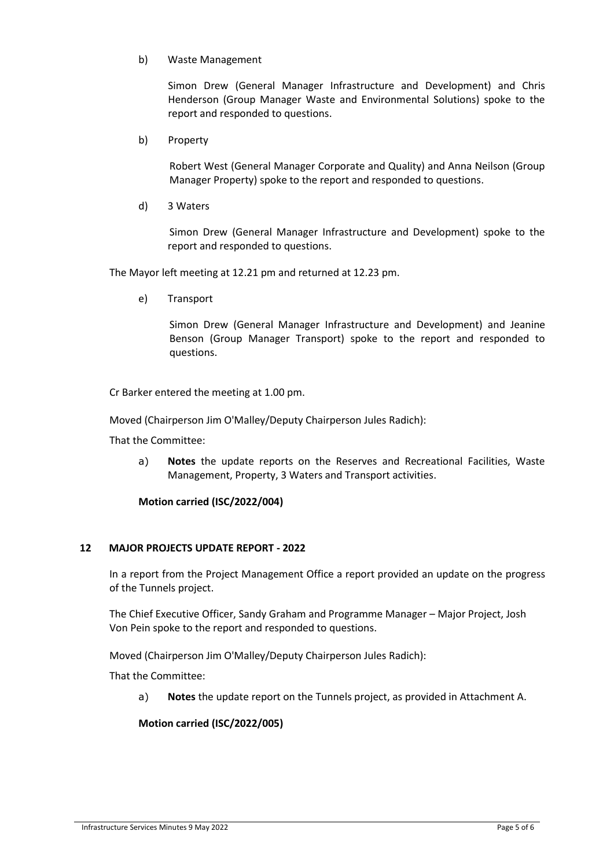### b) Waste Management

Simon Drew (General Manager Infrastructure and Development) and Chris Henderson (Group Manager Waste and Environmental Solutions) spoke to the report and responded to questions.

b) Property

Robert West (General Manager Corporate and Quality) and Anna Neilson (Group Manager Property) spoke to the report and responded to questions.

d) 3 Waters

Simon Drew (General Manager Infrastructure and Development) spoke to the report and responded to questions.

The Mayor left meeting at 12.21 pm and returned at 12.23 pm.

e) Transport

Simon Drew (General Manager Infrastructure and Development) and Jeanine Benson (Group Manager Transport) spoke to the report and responded to questions.

Cr Barker entered the meeting at 1.00 pm.

Moved (Chairperson Jim O'Malley/Deputy Chairperson Jules Radich):

That the Committee:

a) **Notes** the update reports on the Reserves and Recreational Facilities, Waste Management, Property, 3 Waters and Transport activities.

#### **Motion carried (ISC/2022/004)**

## **12 MAJOR PROJECTS UPDATE REPORT - 2022**

In a report from the Project Management Office a report provided an update on the progress of the Tunnels project.

The Chief Executive Officer, Sandy Graham and Programme Manager – Major Project, Josh Von Pein spoke to the report and responded to questions.

Moved (Chairperson Jim O'Malley/Deputy Chairperson Jules Radich):

That the Committee:

a) **Notes** the update report on the Tunnels project, as provided in Attachment A.

## **Motion carried (ISC/2022/005)**